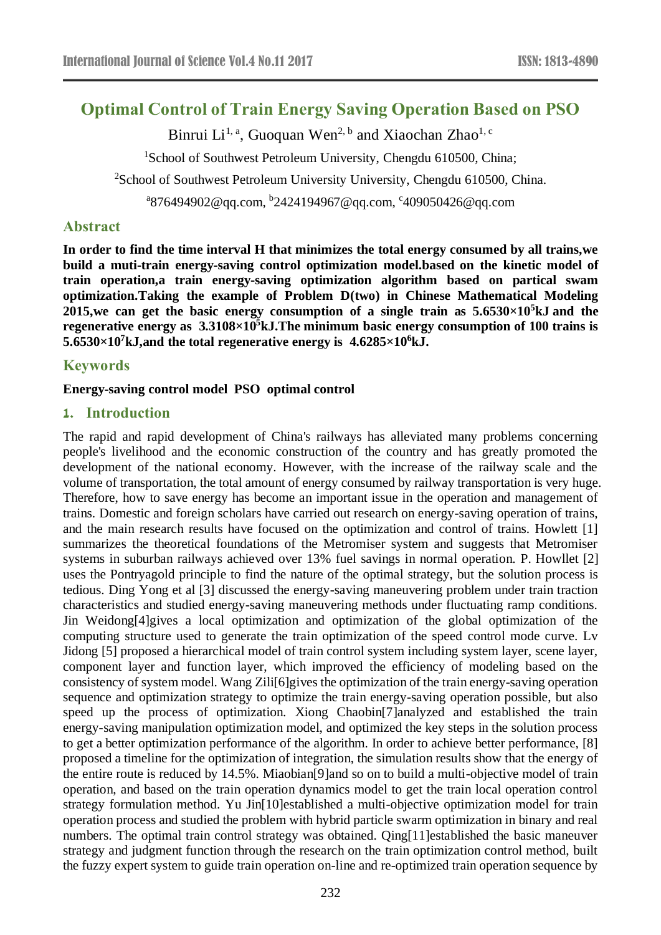# **Optimal Control of Train Energy Saving Operation Based on PSO**

Binrui Li<sup>1, a</sup>, Guoquan Wen<sup>2, b</sup> and Xiaochan Zhao<sup>1, c</sup>

<sup>1</sup>School of Southwest Petroleum University, Chengdu 610500, China;

<sup>2</sup>School of Southwest Petroleum University University, Chengdu 610500, China.

<sup>a</sup>876494902@qq.com, <sup>b</sup>2424194967@qq.com, <sup>c</sup>409050426@qq.com

## **Abstract**

**In order to find the time interval H that minimizes the total energy consumed by all trains,we build a muti-train energy-saving control optimization model.based on the kinetic model of train operation,a train energy-saving optimization algorithm based on partical swam optimization.Taking the example of Problem D(two) in Chinese Mathematical Modeling 2015,we can get the basic energy consumption of a single train as 5.6530×10<sup>5</sup>kJ and the regenerative energy as 3.3108×10<sup>5</sup>kJ.The minimum basic energy consumption of 100 trains is 5.6530×10<sup>7</sup>kJ,and the total regenerative energy is 4.6285×10<sup>6</sup>kJ.**

# **Keywords**

## **Energy-saving control model PSO [optimal](file:///D:/è½¯ä»¶/Youdao/Dict/7.5.0.0/resultui/dict/) [control](file:///D:/è½¯ä»¶/Youdao/Dict/7.5.0.0/resultui/dict/)**

# **1. Introduction**

The rapid and rapid development of China's railways has alleviated many problems concerning people's livelihood and the economic construction of the country and has greatly promoted the development of the national economy. However, with the increase of the railway scale and the volume of transportation, the total amount of energy consumed by railway transportation is very huge. Therefore, how to save energy has become an important issue in the operation and management of trains. Domestic and foreign scholars have carried out research on energy-saving operation of trains, and the main research results have focused on the optimization and control of trains. Howlett [1] summarizes the theoretical foundations of the Metromiser system and suggests that Metromiser systems in suburban railways achieved over 13% fuel savings in normal operation. P. Howllet [2] uses the Pontryagold principle to find the nature of the optimal strategy, but the solution process is tedious. Ding Yong et al [3] discussed the energy-saving maneuvering problem under train traction characteristics and studied energy-saving maneuvering methods under fluctuating ramp conditions. Jin Weidong[4]gives a local optimization and optimization of the global optimization of the computing structure used to generate the train optimization of the speed control mode curve. Lv Jidong [5] proposed a hierarchical model of train control system including system layer, scene layer, component layer and function layer, which improved the efficiency of modeling based on the consistency of system model. Wang Zili[6]gives the optimization of the train energy-saving operation sequence and optimization strategy to optimize the train energy-saving operation possible, but also speed up the process of optimization. Xiong Chaobin[7]analyzed and established the train energy-saving manipulation optimization model, and optimized the key steps in the solution process to get a better optimization performance of the algorithm. In order to achieve better performance, [8] proposed a timeline for the optimization of integration, the simulation results show that the energy of the entire route is reduced by 14.5%. Miaobian[9]and so on to build a multi-objective model of train operation, and based on the train operation dynamics model to get the train local operation control strategy formulation method. Yu Jin[10]established a multi-objective optimization model for train operation process and studied the problem with hybrid particle swarm optimization in binary and real numbers. The optimal train control strategy was obtained. Qing[11]established the basic maneuver strategy and judgment function through the research on the train optimization control method, built the fuzzy expert system to guide train operation on-line and re-optimized train operation sequence by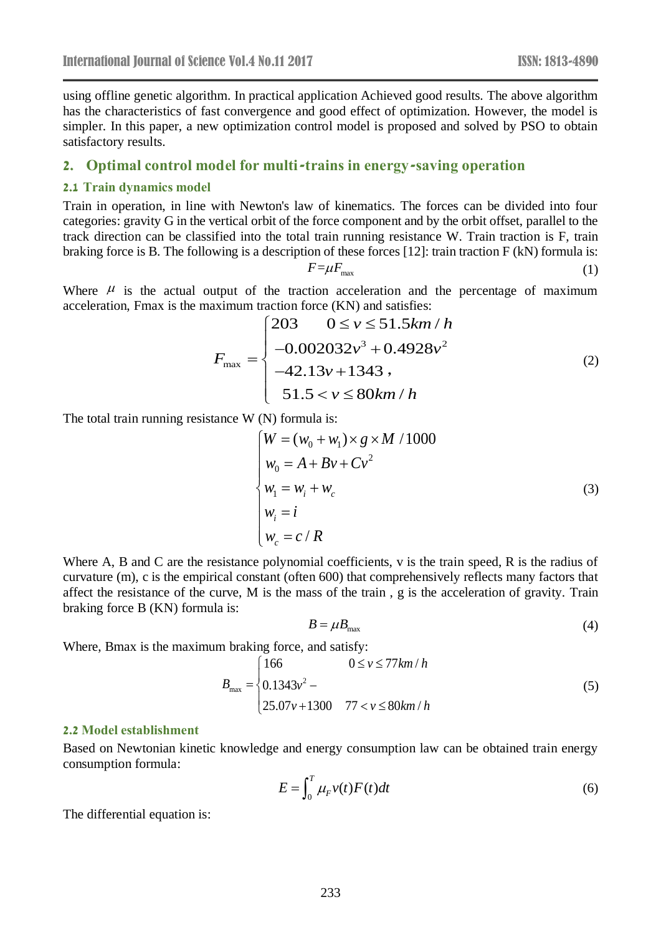using offline genetic algorithm. In practical application Achieved good results. The above algorithm has the characteristics of fast convergence and good effect of optimization. However, the model is simpler. In this paper, a new optimization control model is proposed and solved by PSO to obtain satisfactory results.

#### **2. Optimal control model for multi-trains in energy-saving operation**

#### **2.1 Train dynamics model**

Train in operation, in line with Newton's law of kinematics. The forces can be divided into four categories: gravity G in the vertical orbit of the force component and by the orbit offset, parallel to the track direction can be classified into the total train running resistance W. Train traction is F, train braking force is B. The following is a description of these forces [12]: train traction F (kN) formula is:

$$
F = \mu F_{\text{max}} \tag{1}
$$

Where  $\mu$  is the actual output of the traction acceleration and the percentage of maximum acceleration, Fmax is the maximum traction force (KN) and satisfies:

$$
F_{\text{max}} = \begin{cases} 203 & 0 \le v \le 51.5 \, \text{km} \, / \, h \\ -0.002032 \, v^3 + 0.4928 \, v^2 \\ -42.13 \, v + 1343 \, , \\ 51.5 < v \le 80 \, \text{km} \, / \, h \end{cases} \tag{2}
$$

The total train running resistance W (N) formula is:

$$
\begin{cases}\nW = (w_0 + w_1) \times g \times M / 1000 \\
w_0 = A + Bv + Cv^2 \\
w_1 = w_i + w_c \\
w_i = i \\
w_c = c / R\n\end{cases}
$$
\n(3)

Where A, B and C are the resistance polynomial coefficients, v is the train speed, R is the radius of curvature (m), c is the empirical constant (often 600) that comprehensively reflects many factors that affect the resistance of the curve, M is the mass of the train , g is the acceleration of gravity. Train braking force B (KN) formula is:

$$
B = \mu B_{\text{max}} \tag{4}
$$

Where, Bmax is the maximum braking force, and satisfy:

$$
B_{\text{max}} = \begin{cases} 166 & 0 \le v \le 77 \, \text{km/h} \\ 0.1343 \, v^2 - \\ 25.07 \, v + 1300 & 77 < v \le 80 \, \text{km/h} \end{cases} \tag{5}
$$

#### **2.2 Model establishment**

Based on Newtonian kinetic knowledge and energy consumption law can be obtained train energy consumption formula:

$$
E = \int_0^T \mu_F v(t) F(t) dt
$$
 (6)

The differential equation is: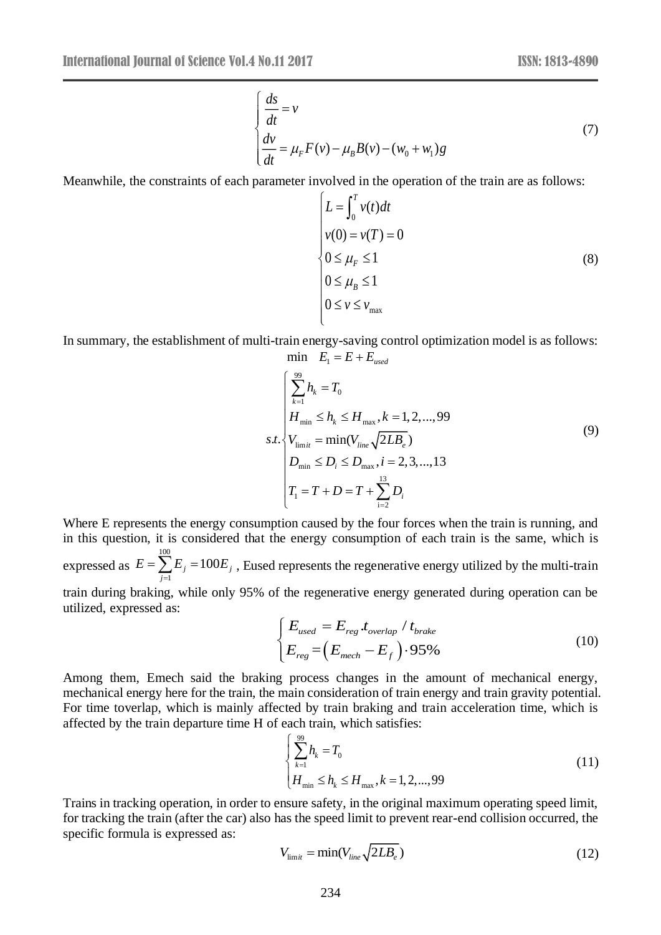$$
\begin{cases}\n\frac{ds}{dt} = v \\
\frac{dv}{dt} = \mu_F F(v) - \mu_B B(v) - (w_0 + w_1)g\n\end{cases}
$$
\n(7)

Meanwhile, the constraints of each parameter involved in the operation of the train are as follows:

$$
L = \int_0^T v(t)dt
$$
  
\n
$$
v(0) = v(T) = 0
$$
  
\n
$$
0 \le \mu_F \le 1
$$
  
\n
$$
0 \le \mu_B \le 1
$$
  
\n
$$
0 \le v \le v_{\text{max}}
$$
\n(8)

In summary, the establishment of multi-train energy-saving control optimization model is as follows: min  $E_1 = E + E$ <sub>used</sub>

$$
s.t. \begin{cases} \sum_{k=1}^{99} h_k = T_0 \\ H_{\min} \le h_k \le H_{\max}, k = 1, 2, ..., 99 \\ V_{\lim i} = \min(V_{\text{line}} \sqrt{2LB_e}) \\ D_{\min} \le D_i \le D_{\max}, i = 2, 3, ..., 13 \\ T_1 = T + D = T + \sum_{i=2}^{13} D_i \end{cases}
$$
(9)

Where E represents the energy consumption caused by the four forces when the train is running, and in this question, it is considered that the energy consumption of each train is the same, which is expressed as 100  $E_{j} = 100E_{j}$ *j*  $E = \sum E_{i} = 100E$ Ξ,  $=\sum E_i = 100E_i$ , Eused represents the regenerative energy utilized by the multi-train

train during braking, while only 95% of the regenerative energy generated during operation can be utilized, expressed as:

$$
\begin{cases}\nE_{used} = E_{reg}.t_{overlap} / t_{brake} \\
E_{reg} = (E_{mech} - E_f).95\% \n\end{cases}
$$
\n(10)

Among them, Emech said the braking process changes in the amount of mechanical energy, mechanical energy here for the train, the main consideration of train energy and train gravity potential. For time toverlap, which is mainly affected by train braking and train acceleration time, which is affected by the train departure time H of each train, which satisfies:

$$
\begin{cases} \sum_{k=1}^{99} h_k = T_0 \\ H_{\min} \le h_k \le H_{\max}, k = 1, 2, ..., 99 \end{cases}
$$
 (11)

Trains in tracking operation, in order to ensure safety, in the original maximum operating speed limit, for tracking the train (after the car) also has the speed limit to prevent rear-end collision occurred, the specific formula is expressed as:

$$
V_{\text{limit}} = \min(V_{\text{line}} \sqrt{2LB_e}) \tag{12}
$$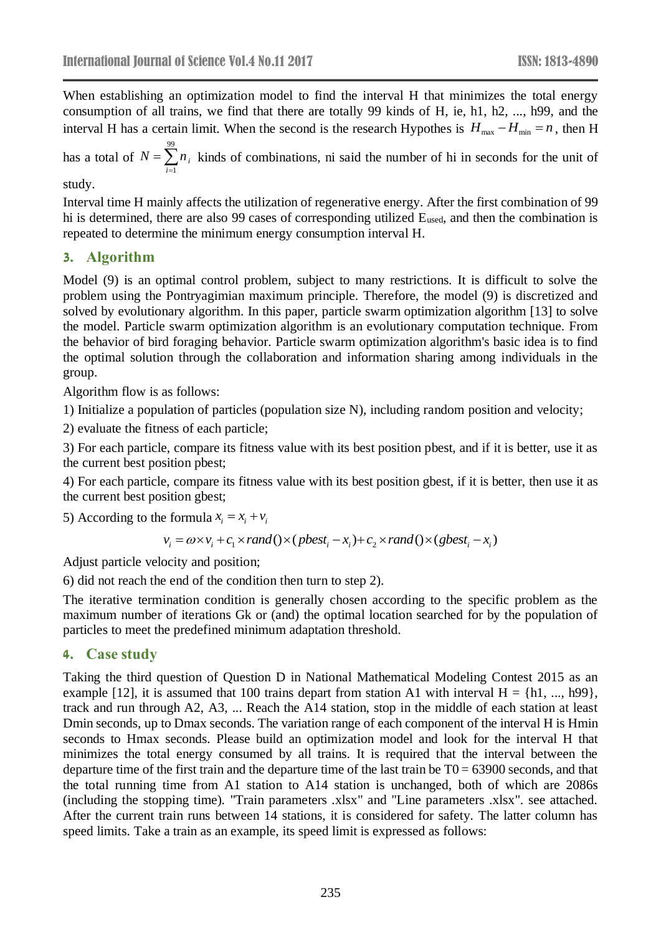When establishing an optimization model to find the interval H that minimizes the total energy consumption of all trains, we find that there are totally 99 kinds of H, ie, h1, h2, ..., h99, and the interval H has a certain limit. When the second is the research Hypothes is  $H_{\text{max}} - H_{\text{min}} = n$ , then H

has a total of 99 1 *i i*  $N = \sum n$ т,  $=\sum_{i=1}^{n} n_i$  kinds of combinations, ni said the number of hi in seconds for the unit of

#### study.

Interval time H mainly affects the utilization of regenerative energy. After the first combination of 99 hi is determined, there are also 99 cases of corresponding utilized Eused, and then the combination is repeated to determine the minimum energy consumption interval H.

## **3. Algorithm**

Model (9) is an optimal control problem, subject to many restrictions. It is difficult to solve the problem using the Pontryagimian maximum principle. Therefore, the model (9) is discretized and solved by evolutionary algorithm. In this paper, particle swarm optimization algorithm [13] to solve the model. Particle swarm optimization algorithm is an evolutionary computation technique. From the behavior of bird foraging behavior. Particle swarm optimization algorithm's basic idea is to find the optimal solution through the collaboration and information sharing among individuals in the group.

Algorithm flow is as follows:

1) Initialize a population of particles (population size N), including random position and velocity;

2) evaluate the fitness of each particle;

3) For each particle, compare its fitness value with its best position pbest, and if it is better, use it as the current best position pbest;

4) For each particle, compare its fitness value with its best position gbest, if it is better, then use it as the current best position gbest;

5) According to the formula  $x_i = x_i + v_i$ 

 $v_i = \omega \times v_i + c_1 \times rand(\times (pbest_i - x_i) + c_2 \times rand(\times (gbest_i - x_i))$ 

Adjust particle velocity and position;

6) did not reach the end of the condition then turn to step 2).

The iterative termination condition is generally chosen according to the specific problem as the maximum number of iterations Gk or (and) the optimal location searched for by the population of particles to meet the predefined minimum adaptation threshold.

# **4. Case study**

Taking the third question of Question D in National Mathematical Modeling Contest 2015 as an example [12], it is assumed that 100 trains depart from station A1 with interval  $H = \{h1, ..., h99\}$ , track and run through A2, A3, ... Reach the A14 station, stop in the middle of each station at least Dmin seconds, up to Dmax seconds. The variation range of each component of the interval H is Hmin seconds to Hmax seconds. Please build an optimization model and look for the interval H that minimizes the total energy consumed by all trains. It is required that the interval between the departure time of the first train and the departure time of the last train be  $T0 = 63900$  seconds, and that the total running time from A1 station to A14 station is unchanged, both of which are 2086s (including the stopping time). "Train parameters .xlsx" and "Line parameters .xlsx". see attached. After the current train runs between 14 stations, it is considered for safety. The latter column has speed limits. Take a train as an example, its speed limit is expressed as follows: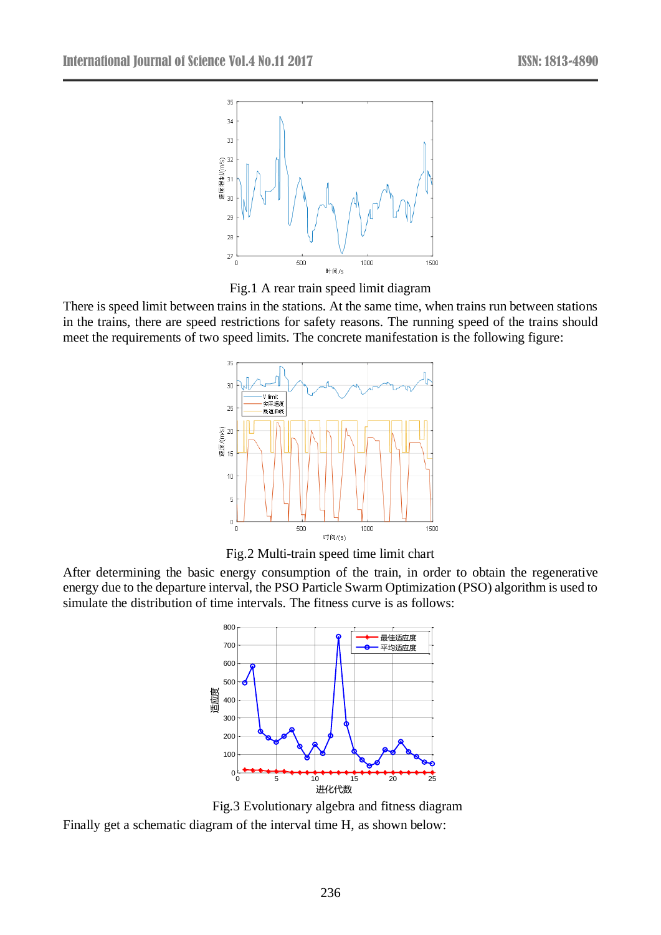

Fig.1 A rear train speed limit diagram

There is speed limit between trains in the stations. At the same time, when trains run between stations in the trains, there are speed restrictions for safety reasons. The running speed of the trains should meet the requirements of two speed limits. The concrete manifestation is the following figure:



Fig.2 Multi-train speed time limit chart

After determining the basic energy consumption of the train, in order to obtain the regenerative energy due to the departure interval, the PSO Particle Swarm Optimization (PSO) algorithm is used to simulate the distribution of time intervals. The fitness curve is as follows:



 Fig.3 Evolutionary algebra and fitness diagram Finally get a schematic diagram of the interval time H, as shown below: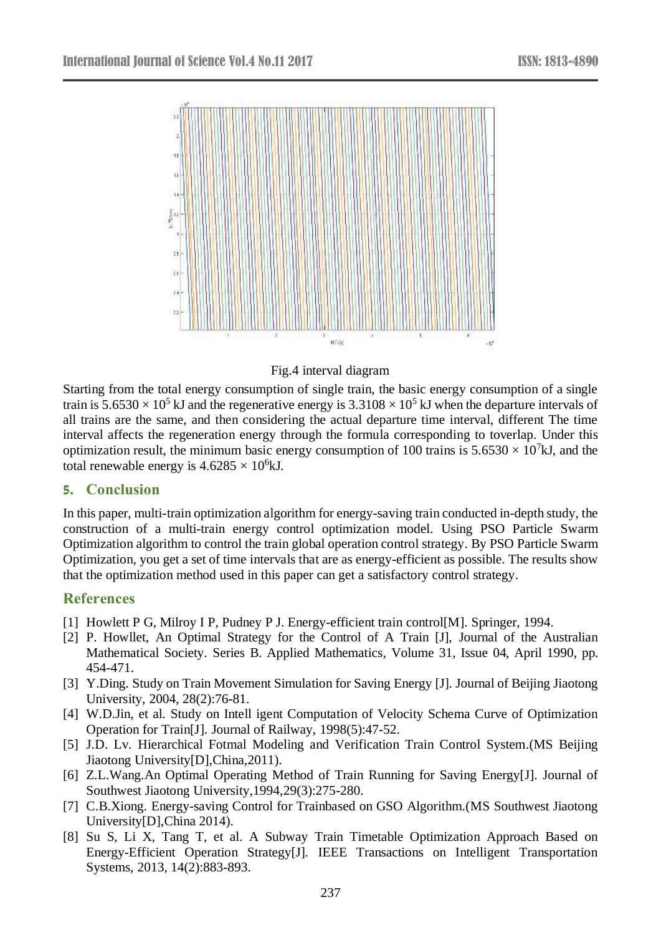



Starting from the total energy consumption of single train, the basic energy consumption of a single train is  $5.6530 \times 10^5$  kJ and the regenerative energy is  $3.3108 \times 10^5$  kJ when the departure intervals of all trains are the same, and then considering the actual departure time interval, different The time interval affects the regeneration energy through the formula corresponding to toverlap. Under this optimization result, the minimum basic energy consumption of 100 trains is  $5.6530 \times 10^7$ kJ, and the total renewable energy is  $4.6285 \times 10^6$ kJ.

# **5. Conclusion**

In this paper, multi-train optimization algorithm for energy-saving train conducted in-depth study, the construction of a multi-train energy control optimization model. Using PSO Particle Swarm Optimization algorithm to control the train global operation control strategy. By PSO Particle Swarm Optimization, you get a set of time intervals that are as energy-efficient as possible. The results show that the optimization method used in this paper can get a satisfactory control strategy.

# **References**

- [1] Howlett P G, Milroy I P, Pudney P J. Energy-efficient train control [M]. Springer, 1994.
- [2] P. Howllet, An Optimal Strategy for the Control of A Train [J], [Journal of the Australian](http://journals.cambridge.org/action/displayJournal?jid=ANZ)  [Mathematical Society. Series B. Applied Mathematics,](http://journals.cambridge.org/action/displayJournal?jid=ANZ) Volume 31, Issue 04, April 1990, pp. 454-471.
- [3] Y.Ding. Study on Train Movement Simulation for Saving Energy [J]. Journal of Beijing Jiaotong University, 2004, 28(2):76-81.
- [4] W.D.Jin, et al. Study on Intell igent Computation of Velocity Schema Curve of Optimization Operation for Train[J]. Journal of Railway, 1998(5):47-52.
- [5] J.D. Lv. Hierarchical Fotmal Modeling and Verification Train Control System.(MS Beijing Jiaotong University[D],China,2011).
- [6] Z.L.Wang.An Optimal Operating Method of Train Running for Saving Energy[J]. Journal of Southwest Jiaotong University,1994,29(3):275-280.
- [7] C.B.Xiong. Energy-saving Control for Trainbased on GSO Algorithm.(MS Southwest Jiaotong University[D],China 2014).
- [8] Su S, Li X, Tang T, et al. A Subway Train Timetable Optimization Approach Based on Energy-Efficient Operation Strategy[J]. IEEE Transactions on Intelligent Transportation Systems, 2013, 14(2):883-893.